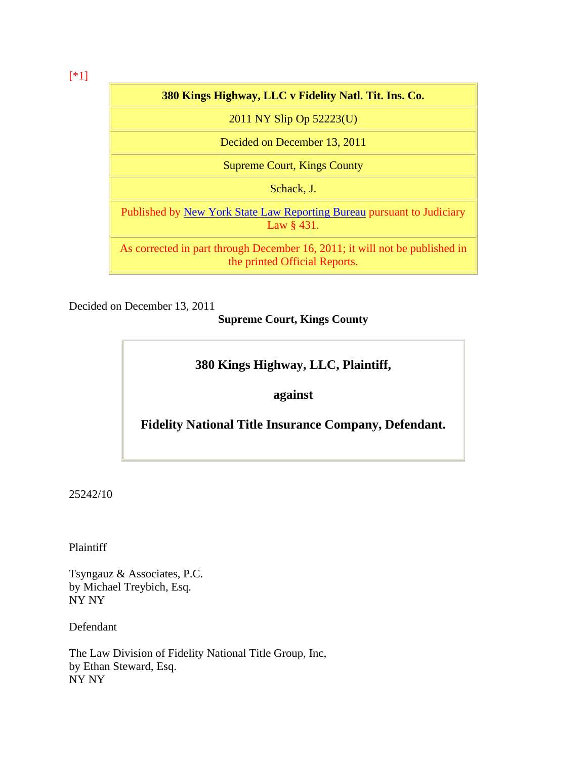# **380 Kings Highway, LLC v Fidelity Natl. Tit. Ins. Co.**

2011 NY Slip Op 52223(U)

Decided on December 13, 2011

Supreme Court, Kings County

Schack, J.

Published by [New York State Law Reporting Bureau](http://www.courts.state.ny.us/reporter/) pursuant to Judiciary Law § 431.

As corrected in part through December 16, 2011; it will not be published in the printed Official Reports.

Decided on December 13, 2011

**Supreme Court, Kings County**

# **380 Kings Highway, LLC, Plaintiff,**

**against** 

**Fidelity National Title Insurance Company, Defendant.** 

25242/10

Plaintiff

Tsyngauz & Associates, P.C. by Michael Treybich, Esq. NY NY

Defendant

The Law Division of Fidelity National Title Group, Inc, by Ethan Steward, Esq. NY NY

[\*1]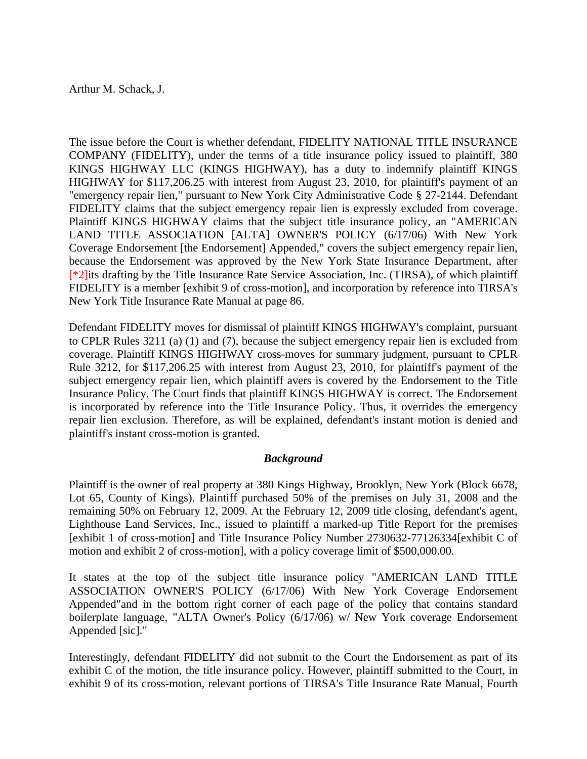Arthur M. Schack, J.

The issue before the Court is whether defendant, FIDELITY NATIONAL TITLE INSURANCE COMPANY (FIDELITY), under the terms of a title insurance policy issued to plaintiff, 380 KINGS HIGHWAY LLC (KINGS HIGHWAY), has a duty to indemnify plaintiff KINGS HIGHWAY for \$117,206.25 with interest from August 23, 2010, for plaintiff's payment of an "emergency repair lien," pursuant to New York City Administrative Code § 27-2144. Defendant FIDELITY claims that the subject emergency repair lien is expressly excluded from coverage. Plaintiff KINGS HIGHWAY claims that the subject title insurance policy, an "AMERICAN LAND TITLE ASSOCIATION [ALTA] OWNER'S POLICY (6/17/06) With New York Coverage Endorsement [the Endorsement] Appended," covers the subject emergency repair lien, because the Endorsement was approved by the New York State Insurance Department, after [\*2]its drafting by the Title Insurance Rate Service Association, Inc. (TIRSA), of which plaintiff FIDELITY is a member [exhibit 9 of cross-motion], and incorporation by reference into TIRSA's New York Title Insurance Rate Manual at page 86.

Defendant FIDELITY moves for dismissal of plaintiff KINGS HIGHWAY's complaint, pursuant to CPLR Rules 3211 (a) (1) and (7), because the subject emergency repair lien is excluded from coverage. Plaintiff KINGS HIGHWAY cross-moves for summary judgment, pursuant to CPLR Rule 3212, for \$117,206.25 with interest from August 23, 2010, for plaintiff's payment of the subject emergency repair lien, which plaintiff avers is covered by the Endorsement to the Title Insurance Policy. The Court finds that plaintiff KINGS HIGHWAY is correct. The Endorsement is incorporated by reference into the Title Insurance Policy. Thus, it overrides the emergency repair lien exclusion. Therefore, as will be explained, defendant's instant motion is denied and plaintiff's instant cross-motion is granted.

## *Background*

Plaintiff is the owner of real property at 380 Kings Highway, Brooklyn, New York (Block 6678, Lot 65, County of Kings). Plaintiff purchased 50% of the premises on July 31, 2008 and the remaining 50% on February 12, 2009. At the February 12, 2009 title closing, defendant's agent, Lighthouse Land Services, Inc., issued to plaintiff a marked-up Title Report for the premises [exhibit 1 of cross-motion] and Title Insurance Policy Number 2730632-77126334[exhibit C of motion and exhibit 2 of cross-motion], with a policy coverage limit of \$500,000.00.

It states at the top of the subject title insurance policy "AMERICAN LAND TITLE ASSOCIATION OWNER'S POLICY (6/17/06) With New York Coverage Endorsement Appended"and in the bottom right corner of each page of the policy that contains standard boilerplate language, "ALTA Owner's Policy (6/17/06) w/ New York coverage Endorsement Appended [sic]."

Interestingly, defendant FIDELITY did not submit to the Court the Endorsement as part of its exhibit C of the motion, the title insurance policy. However, plaintiff submitted to the Court, in exhibit 9 of its cross-motion, relevant portions of TIRSA's Title Insurance Rate Manual, Fourth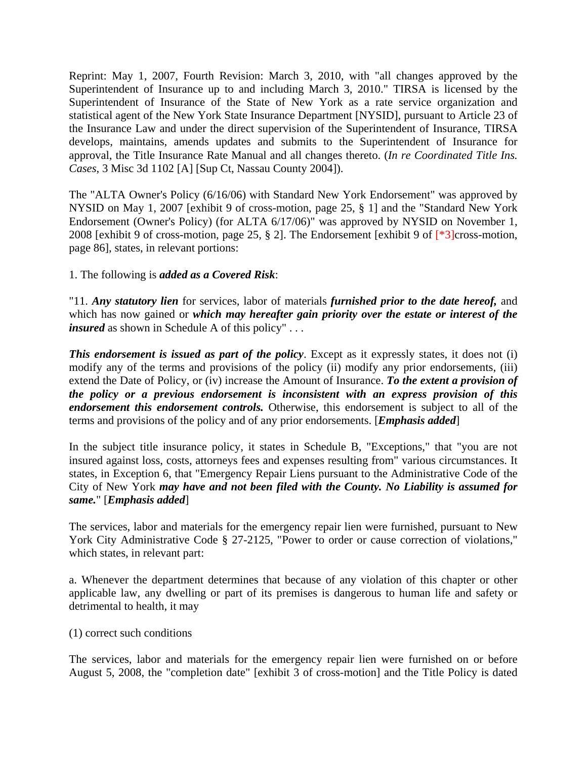Reprint: May 1, 2007, Fourth Revision: March 3, 2010, with "all changes approved by the Superintendent of Insurance up to and including March 3, 2010." TIRSA is licensed by the Superintendent of Insurance of the State of New York as a rate service organization and statistical agent of the New York State Insurance Department [NYSID], pursuant to Article 23 of the Insurance Law and under the direct supervision of the Superintendent of Insurance, TIRSA develops, maintains, amends updates and submits to the Superintendent of Insurance for approval, the Title Insurance Rate Manual and all changes thereto. (*In re Coordinated Title Ins. Cases*, 3 Misc 3d 1102 [A] [Sup Ct, Nassau County 2004]).

The "ALTA Owner's Policy (6/16/06) with Standard New York Endorsement" was approved by NYSID on May 1, 2007 [exhibit 9 of cross-motion, page 25, § 1] and the "Standard New York Endorsement (Owner's Policy) (for ALTA 6/17/06)" was approved by NYSID on November 1, 2008 [exhibit 9 of cross-motion, page 25, § 2]. The Endorsement [exhibit 9 of [\*3]cross-motion, page 86], states, in relevant portions:

1. The following is *added as a Covered Risk*:

"11. *Any statutory lien* for services, labor of materials *furnished prior to the date hereof,* and which has now gained or *which may hereafter gain priority over the estate or interest of the insured* as shown in Schedule A of this policy"...

**This endorsement is issued as part of the policy.** Except as it expressly states, it does not (i) modify any of the terms and provisions of the policy (ii) modify any prior endorsements, (iii) extend the Date of Policy, or (iv) increase the Amount of Insurance. *To the extent a provision of the policy or a previous endorsement is inconsistent with an express provision of this endorsement this endorsement controls.* Otherwise, this endorsement is subject to all of the terms and provisions of the policy and of any prior endorsements. [*Emphasis added*]

In the subject title insurance policy, it states in Schedule B, "Exceptions," that "you are not insured against loss, costs, attorneys fees and expenses resulting from" various circumstances. It states, in Exception 6, that "Emergency Repair Liens pursuant to the Administrative Code of the City of New York *may have and not been filed with the County. No Liability is assumed for same.*" [*Emphasis added*]

The services, labor and materials for the emergency repair lien were furnished, pursuant to New York City Administrative Code § 27-2125, "Power to order or cause correction of violations," which states, in relevant part:

a. Whenever the department determines that because of any violation of this chapter or other applicable law, any dwelling or part of its premises is dangerous to human life and safety or detrimental to health, it may

(1) correct such conditions

The services, labor and materials for the emergency repair lien were furnished on or before August 5, 2008, the "completion date" [exhibit 3 of cross-motion] and the Title Policy is dated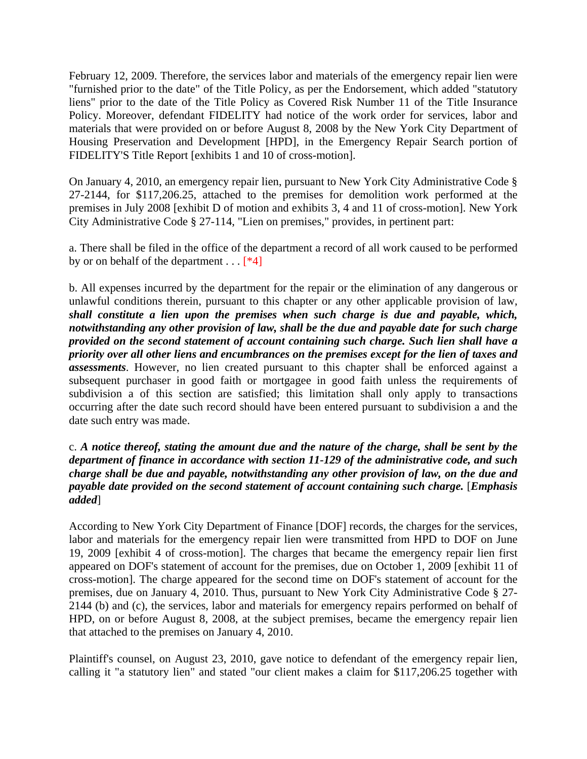February 12, 2009. Therefore, the services labor and materials of the emergency repair lien were "furnished prior to the date" of the Title Policy, as per the Endorsement, which added "statutory liens" prior to the date of the Title Policy as Covered Risk Number 11 of the Title Insurance Policy. Moreover, defendant FIDELITY had notice of the work order for services, labor and materials that were provided on or before August 8, 2008 by the New York City Department of Housing Preservation and Development [HPD], in the Emergency Repair Search portion of FIDELITY'S Title Report [exhibits 1 and 10 of cross-motion].

On January 4, 2010, an emergency repair lien, pursuant to New York City Administrative Code § 27-2144, for \$117,206.25, attached to the premises for demolition work performed at the premises in July 2008 [exhibit D of motion and exhibits 3, 4 and 11 of cross-motion]. New York City Administrative Code § 27-114, "Lien on premises," provides, in pertinent part:

a. There shall be filed in the office of the department a record of all work caused to be performed by or on behalf of the department  $\dots$  [\*4]

b. All expenses incurred by the department for the repair or the elimination of any dangerous or unlawful conditions therein, pursuant to this chapter or any other applicable provision of law, *shall constitute a lien upon the premises when such charge is due and payable, which, notwithstanding any other provision of law, shall be the due and payable date for such charge provided on the second statement of account containing such charge. Such lien shall have a priority over all other liens and encumbrances on the premises except for the lien of taxes and assessments*. However, no lien created pursuant to this chapter shall be enforced against a subsequent purchaser in good faith or mortgagee in good faith unless the requirements of subdivision a of this section are satisfied; this limitation shall only apply to transactions occurring after the date such record should have been entered pursuant to subdivision a and the date such entry was made.

c. *A notice thereof, stating the amount due and the nature of the charge, shall be sent by the department of finance in accordance with section 11-129 of the administrative code, and such charge shall be due and payable, notwithstanding any other provision of law, on the due and payable date provided on the second statement of account containing such charge. [Emphasis added*]

According to New York City Department of Finance [DOF] records, the charges for the services, labor and materials for the emergency repair lien were transmitted from HPD to DOF on June 19, 2009 [exhibit 4 of cross-motion]. The charges that became the emergency repair lien first appeared on DOF's statement of account for the premises, due on October 1, 2009 [exhibit 11 of cross-motion]. The charge appeared for the second time on DOF's statement of account for the premises, due on January 4, 2010. Thus, pursuant to New York City Administrative Code § 27- 2144 (b) and (c), the services, labor and materials for emergency repairs performed on behalf of HPD, on or before August 8, 2008, at the subject premises, became the emergency repair lien that attached to the premises on January 4, 2010.

Plaintiff's counsel, on August 23, 2010, gave notice to defendant of the emergency repair lien, calling it "a statutory lien" and stated "our client makes a claim for \$117,206.25 together with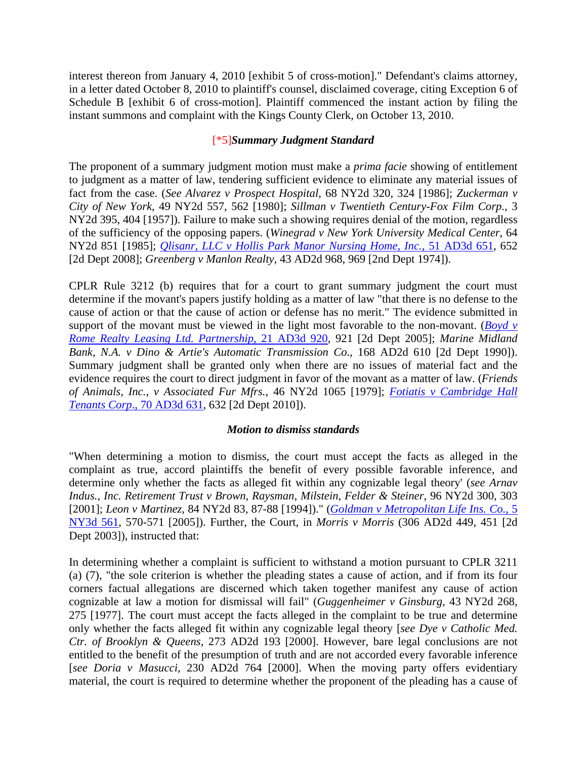interest thereon from January 4, 2010 [exhibit 5 of cross-motion]." Defendant's claims attorney, in a letter dated October 8, 2010 to plaintiff's counsel, disclaimed coverage, citing Exception 6 of Schedule B [exhibit 6 of cross-motion]. Plaintiff commenced the instant action by filing the instant summons and complaint with the Kings County Clerk, on October 13, 2010.

# [\*5]*Summary Judgment Standard*

The proponent of a summary judgment motion must make a *prima facie* showing of entitlement to judgment as a matter of law, tendering sufficient evidence to eliminate any material issues of fact from the case. (*See Alvarez v Prospect Hospital*, 68 NY2d 320, 324 [1986]; *Zuckerman v City of New York*, 49 NY2d 557, 562 [1980]; *Sillman v Twentieth Century-Fox Film Corp.*, 3 NY2d 395, 404 [1957]). Failure to make such a showing requires denial of the motion, regardless of the sufficiency of the opposing papers. (*Winegrad v New York University Medical Center*, 64 NY2d 851 [1985]; *[Qlisanr, LLC v Hollis Park Manor Nursing Home, Inc.](http://www.nycourts.gov/reporter/3dseries/2008/2008_04336.htm)*, 51 AD3d 651, 652 [2d Dept 2008]; *Greenberg v Manlon Realty,* 43 AD2d 968, 969 [2nd Dept 1974]).

CPLR Rule 3212 (b) requires that for a court to grant summary judgment the court must determine if the movant's papers justify holding as a matter of law "that there is no defense to the cause of action or that the cause of action or defense has no merit." The evidence submitted in support of the movant must be viewed in the light most favorable to the non-movant. (*[Boyd v](http://www.nycourts.gov/reporter/3dseries/2005/2005_06643.htm)  [Rome Realty Leasing Ltd. Partnership](http://www.nycourts.gov/reporter/3dseries/2005/2005_06643.htm)*, 21 AD3d 920, 921 [2d Dept 2005]; *Marine Midland Bank, N.A. v Dino & Artie's Automatic Transmission Co.*, 168 AD2d 610 [2d Dept 1990]). Summary judgment shall be granted only when there are no issues of material fact and the evidence requires the court to direct judgment in favor of the movant as a matter of law. (*Friends of Animals, Inc., v Associated Fur Mfrs.*, 46 NY2d 1065 [1979]; *[Fotiatis v Cambridge Hall](http://www.nycourts.gov/reporter/3dseries/2010/2010_00806.htm)  Tenants Corp*[., 70 AD3d 631](http://www.nycourts.gov/reporter/3dseries/2010/2010_00806.htm), 632 [2d Dept 2010]).

## *Motion to dismiss standards*

"When determining a motion to dismiss, the court must accept the facts as alleged in the complaint as true, accord plaintiffs the benefit of every possible favorable inference, and determine only whether the facts as alleged fit within any cognizable legal theory' (*see Arnav Indus., Inc. Retirement Trust v Brown, Raysman, Milstein, Felder & Steiner*, 96 NY2d 300, 303 [2001]; *Leon v Martinez*, 84 NY2d 83, 87-88 [1994])." (*[Goldman v Metropolitan Life Ins. Co.](http://www.nycourts.gov/reporter/3dseries/2005/2005_08846.htm)*, 5 [NY3d 561,](http://www.nycourts.gov/reporter/3dseries/2005/2005_08846.htm) 570-571 [2005]). Further, the Court, in *Morris v Morris* (306 AD2d 449, 451 [2d Dept 2003]), instructed that:

In determining whether a complaint is sufficient to withstand a motion pursuant to CPLR 3211 (a) (7), "the sole criterion is whether the pleading states a cause of action, and if from its four corners factual allegations are discerned which taken together manifest any cause of action cognizable at law a motion for dismissal will fail" (*Guggenheimer v Ginsburg*, 43 NY2d 268, 275 [1977]. The court must accept the facts alleged in the complaint to be true and determine only whether the facts alleged fit within any cognizable legal theory [*see Dye v Catholic Med. Ctr. of Brooklyn & Queens*, 273 AD2d 193 [2000]. However, bare legal conclusions are not entitled to the benefit of the presumption of truth and are not accorded every favorable inference [*see Doria v Masucci*, 230 AD2d 764 [2000]. When the moving party offers evidentiary material, the court is required to determine whether the proponent of the pleading has a cause of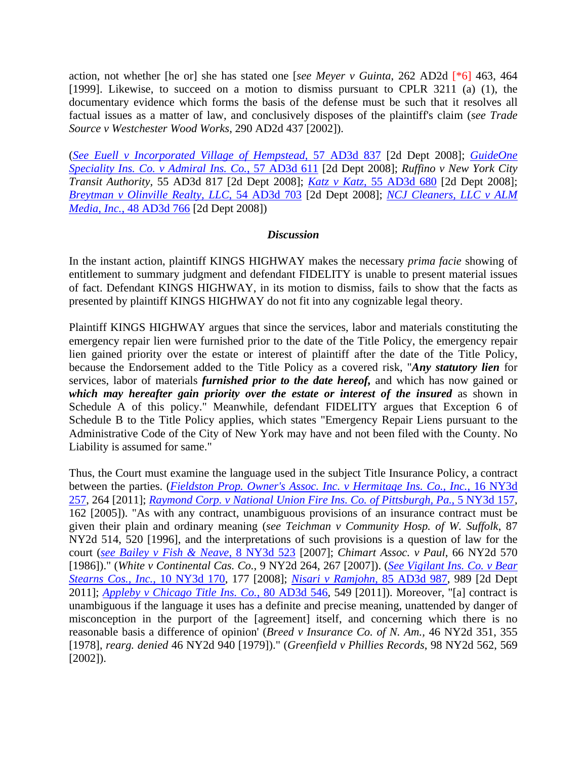action, not whether [he or] she has stated one [*see Meyer v Guinta*, 262 AD2d [\*6] 463, 464 [1999]. Likewise, to succeed on a motion to dismiss pursuant to CPLR 3211 (a) (1), the documentary evidence which forms the basis of the defense must be such that it resolves all factual issues as a matter of law, and conclusively disposes of the plaintiff's claim (*see Trade Source v Westchester Wood Works*, 290 AD2d 437 [2002]).

(*[See Euell v Incorporated Village of Hempstead](http://www.nycourts.gov/reporter/3dseries/2008/2008_10121.htm)*, 57 AD3d 837 [2d Dept 2008]; *[GuideOne](http://www.nycourts.gov/reporter/3dseries/2008/2008_09751.htm)  [Speciality Ins. Co. v Admiral Ins. Co.](http://www.nycourts.gov/reporter/3dseries/2008/2008_09751.htm)*, 57 AD3d 611 [2d Dept 2008]; *Ruffino v New York City Transit Authority,* 55 AD3d 817 [2d Dept 2008]; *Katz v Katz*[, 55 AD3d 680](http://www.nycourts.gov/reporter/3dseries/2008/2008_07873.htm) [2d Dept 2008]; *[Breytman v Olinville Realty, LLC](http://www.nycourts.gov/reporter/3dseries/2008/2008_06787.htm)*, 54 AD3d 703 [2d Dept 2008]; *[NCJ Cleaners, LLC v ALM](http://www.nycourts.gov/reporter/3dseries/2008/2008_01723.htm)  Media, Inc.*[, 48 AD3d 766](http://www.nycourts.gov/reporter/3dseries/2008/2008_01723.htm) [2d Dept 2008])

#### *Discussion*

In the instant action, plaintiff KINGS HIGHWAY makes the necessary *prima facie* showing of entitlement to summary judgment and defendant FIDELITY is unable to present material issues of fact. Defendant KINGS HIGHWAY, in its motion to dismiss, fails to show that the facts as presented by plaintiff KINGS HIGHWAY do not fit into any cognizable legal theory.

Plaintiff KINGS HIGHWAY argues that since the services, labor and materials constituting the emergency repair lien were furnished prior to the date of the Title Policy, the emergency repair lien gained priority over the estate or interest of plaintiff after the date of the Title Policy, because the Endorsement added to the Title Policy as a covered risk, "*Any statutory lien* for services, labor of materials *furnished prior to the date hereof,* and which has now gained or *which may hereafter gain priority over the estate or interest of the insured* as shown in Schedule A of this policy." Meanwhile, defendant FIDELITY argues that Exception 6 of Schedule B to the Title Policy applies, which states "Emergency Repair Liens pursuant to the Administrative Code of the City of New York may have and not been filed with the County. No Liability is assumed for same."

Thus, the Court must examine the language used in the subject Title Insurance Policy, a contract between the parties. (*[Fieldston Prop. Owner's Assoc. Inc. v Hermitage Ins. Co., Inc.](http://www.nycourts.gov/reporter/3dseries/2011/2011_01361.htm)*, 16 NY3d [257](http://www.nycourts.gov/reporter/3dseries/2011/2011_01361.htm), 264 [2011]; *[Raymond Corp. v National Union Fire Ins. Co. of Pittsburgh, Pa.](http://www.nycourts.gov/reporter/3dseries/2005/2005_05453.htm)*, 5 NY3d 157, 162 [2005]). "As with any contract, unambiguous provisions of an insurance contract must be given their plain and ordinary meaning (*see Teichman v Community Hosp. of W. Suffolk*, 87 NY2d 514, 520 [1996], and the interpretations of such provisions is a question of law for the court (*[see Bailey v Fish & Neave](http://www.nycourts.gov/reporter/3dseries/2007/2007_03958.htm)*, 8 NY3d 523 [2007]; *Chimart Assoc. v Paul*, 66 NY2d 570 [1986])." (*White v Continental Cas. Co.*, 9 NY2d 264, 267 [2007]). (*[See Vigilant Ins. Co. v Bear](http://www.nycourts.gov/reporter/3dseries/2008/2008_02080.htm)  [Stearns Cos., Inc.](http://www.nycourts.gov/reporter/3dseries/2008/2008_02080.htm)*, 10 NY3d 170, 177 [2008]; *[Nisari v Ramjohn](http://www.nycourts.gov/reporter/3dseries/2011/2011_05467.htm)*, 85 AD3d 987, 989 [2d Dept 2011]; *[Appleby v Chicago Title Ins. Co.](http://www.nycourts.gov/reporter/3dseries/2011/2011_00170.htm)*, 80 AD3d 546, 549 [2011]). Moreover, "[a] contract is unambiguous if the language it uses has a definite and precise meaning, unattended by danger of misconception in the purport of the [agreement] itself, and concerning which there is no reasonable basis a difference of opinion' (*Breed v Insurance Co. of N. Am.,* 46 NY2d 351, 355 [1978], *rearg. denied* 46 NY2d 940 [1979])." (*Greenfield v Phillies Records*, 98 NY2d 562, 569 [2002]).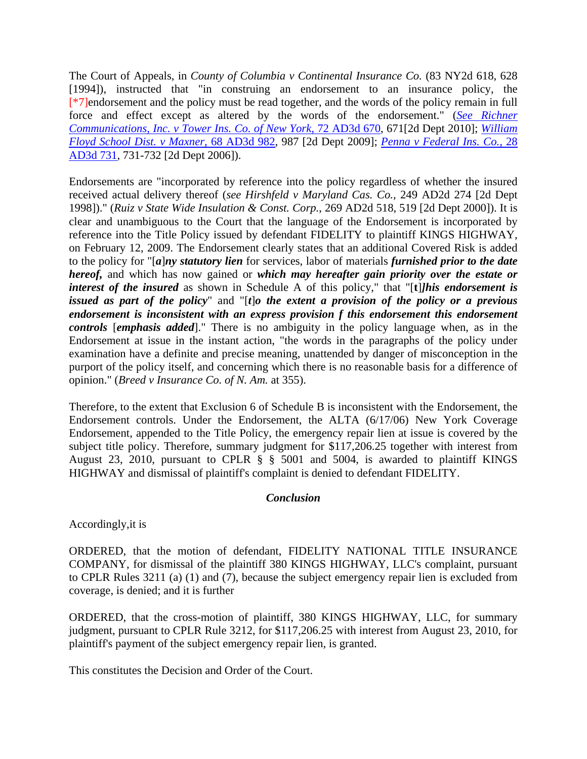The Court of Appeals, in *County of Columbia v Continental Insurance Co.* (83 NY2d 618, 628 [1994]), instructed that "in construing an endorsement to an insurance policy, the [\*7]endorsement and the policy must be read together, and the words of the policy remain in full force and effect except as altered by the words of the endorsement." (*[See Richner](http://www.nycourts.gov/reporter/3dseries/2010/2010_02939.htm)  [Communications, Inc. v Tower Ins. Co. of New York](http://www.nycourts.gov/reporter/3dseries/2010/2010_02939.htm)*, 72 AD3d 670, 671[2d Dept 2010]; *[William](http://www.nycourts.gov/reporter/3dseries/2009/2009_09464.htm)  [Floyd School Dist. v Maxner](http://www.nycourts.gov/reporter/3dseries/2009/2009_09464.htm)*, 68 AD3d 982, 987 [2d Dept 2009]; *[Penna v Federal Ins. Co.](http://www.nycourts.gov/reporter/3dseries/2006/2006_03064.htm)*, 28 [AD3d 731](http://www.nycourts.gov/reporter/3dseries/2006/2006_03064.htm), 731-732 [2d Dept 2006]).

Endorsements are "incorporated by reference into the policy regardless of whether the insured received actual delivery thereof (*see Hirshfeld v Maryland Cas. Co.*, 249 AD2d 274 [2d Dept 1998])." (*Ruiz v State Wide Insulation & Const. Corp.*, 269 AD2d 518, 519 [2d Dept 2000]). It is clear and unambiguous to the Court that the language of the Endorsement is incorporated by reference into the Title Policy issued by defendant FIDELITY to plaintiff KINGS HIGHWAY, on February 12, 2009. The Endorsement clearly states that an additional Covered Risk is added to the policy for "[*a*]*ny statutory lien* for services, labor of materials *furnished prior to the date hereof,* and which has now gained or *which may hereafter gain priority over the estate or interest of the insured* as shown in Schedule A of this policy," that "[**t**]*]his endorsement is issued as part of the policy*" and "[*t*]*o the extent a provision of the policy or a previous endorsement is inconsistent with an express provision f this endorsement this endorsement controls* [*emphasis added*]." There is no ambiguity in the policy language when, as in the Endorsement at issue in the instant action, "the words in the paragraphs of the policy under examination have a definite and precise meaning, unattended by danger of misconception in the purport of the policy itself, and concerning which there is no reasonable basis for a difference of opinion." (*Breed v Insurance Co. of N. Am.* at 355).

Therefore, to the extent that Exclusion 6 of Schedule B is inconsistent with the Endorsement, the Endorsement controls. Under the Endorsement, the ALTA (6/17/06) New York Coverage Endorsement, appended to the Title Policy, the emergency repair lien at issue is covered by the subject title policy. Therefore, summary judgment for \$117,206.25 together with interest from August 23, 2010, pursuant to CPLR § § 5001 and 5004, is awarded to plaintiff KINGS HIGHWAY and dismissal of plaintiff's complaint is denied to defendant FIDELITY.

## *Conclusion*

Accordingly,it is

ORDERED, that the motion of defendant, FIDELITY NATIONAL TITLE INSURANCE COMPANY, for dismissal of the plaintiff 380 KINGS HIGHWAY, LLC's complaint, pursuant to CPLR Rules 3211 (a) (1) and (7), because the subject emergency repair lien is excluded from coverage, is denied; and it is further

ORDERED, that the cross-motion of plaintiff, 380 KINGS HIGHWAY, LLC, for summary judgment, pursuant to CPLR Rule 3212, for \$117,206.25 with interest from August 23, 2010, for plaintiff's payment of the subject emergency repair lien, is granted.

This constitutes the Decision and Order of the Court.